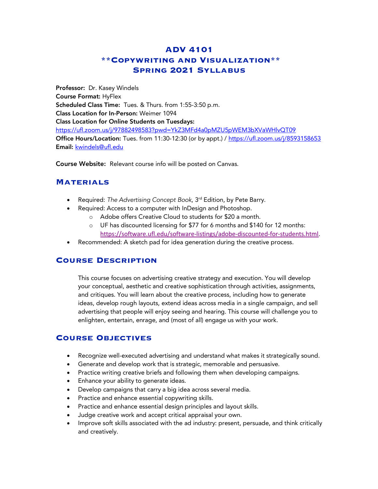# **ADV 4101 \*\*Copywriting and Visualization\*\* Spring 2021 Syllabus**

Professor: Dr. Kasey Windels Course Format: HyFlex Scheduled Class Time: Tues. & Thurs. from 1:55-3:50 p.m. Class Location for In-Person: Weimer 1094 Class Location for Online Students on Tuesdays: https://ufl.zoom.us/j/97882498583?pwd=YkZ3MFd4a0pMZU5pWEM3bXVaWHlvQT09 Office Hours/Location: Tues. from 11:30-12:30 (or by appt.) / https://ufl.zoom.us/j/8593158653 Email: kwindels@ufl.edu

Course Website: Relevant course info will be posted on Canvas.

### **Materials**

- Required: *The Advertising Concept Book*, 3<sup>rd</sup> Edition, by Pete Barry.
- Required: Access to a computer with InDesign and Photoshop.
	- o Adobe offers Creative Cloud to students for \$20 a month.
	- o UF has discounted licensing for \$77 for 6 months and \$140 for 12 months: https://software.ufl.edu/software-listings/adobe-discounted-for-students.html.
- Recommended: A sketch pad for idea generation during the creative process.

## **Course Description**

This course focuses on advertising creative strategy and execution. You will develop your conceptual, aesthetic and creative sophistication through activities, assignments, and critiques. You will learn about the creative process, including how to generate ideas, develop rough layouts, extend ideas across media in a single campaign, and sell advertising that people will enjoy seeing and hearing. This course will challenge you to enlighten, entertain, enrage, and (most of all) engage us with your work.

## **Course Objectives**

- Recognize well-executed advertising and understand what makes it strategically sound.
- Generate and develop work that is strategic, memorable and persuasive.
- Practice writing creative briefs and following them when developing campaigns.
- Enhance your ability to generate ideas.
- Develop campaigns that carry a big idea across several media.
- Practice and enhance essential copywriting skills.
- Practice and enhance essential design principles and layout skills.
- Judge creative work and accept critical appraisal your own.
- Improve soft skills associated with the ad industry: present, persuade, and think critically and creatively.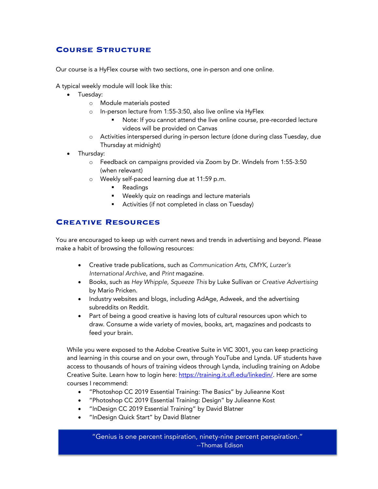# **Course Structure**

Our course is a HyFlex course with two sections, one in-person and one online.

A typical weekly module will look like this:

- Tuesday:
	- o Module materials posted
	- o In-person lecture from 1:55-3:50, also live online via HyFlex
		- Note: If you cannot attend the live online course, pre-recorded lecture videos will be provided on Canvas
	- o Activities interspersed during in-person lecture (done during class Tuesday, due Thursday at midnight)
- Thursday:
	- o Feedback on campaigns provided via Zoom by Dr. Windels from 1:55-3:50 (when relevant)
	- o Weekly self-paced learning due at 11:59 p.m.
		- Readings
		- **•** Weekly quiz on readings and lecture materials
		- Activities (if not completed in class on Tuesday)

# **Creative Resources**

You are encouraged to keep up with current news and trends in advertising and beyond. Please make a habit of browsing the following resources:

- Creative trade publications, such as *Communication Arts*, *CMYK*, *Lurzer's International Archive*, and *Print* magazine.
- Books, such as *Hey Whipple, Squeeze This* by Luke Sullivan or *Creative Advertising* by Mario Pricken.
- Industry websites and blogs, including AdAge, Adweek, and the advertising subreddits on Reddit.
- Part of being a good creative is having lots of cultural resources upon which to draw. Consume a wide variety of movies, books, art, magazines and podcasts to feed your brain.

While you were exposed to the Adobe Creative Suite in VIC 3001, you can keep practicing and learning in this course and on your own, through YouTube and Lynda. UF students have access to thousands of hours of training videos through Lynda, including training on Adobe Creative Suite. Learn how to login here: https://training.it.ufl.edu/linkedin/. Here are some courses I recommend:

- "Photoshop CC 2019 Essential Training: The Basics" by Julieanne Kost
- "Photoshop CC 2019 Essential Training: Design" by Julieanne Kost
- "InDesign CC 2019 Essential Training" by David Blatner
- "InDesign Quick Start" by David Blatner

"Genius is one percent inspiration, ninety-nine percent perspiration." --Thomas Edison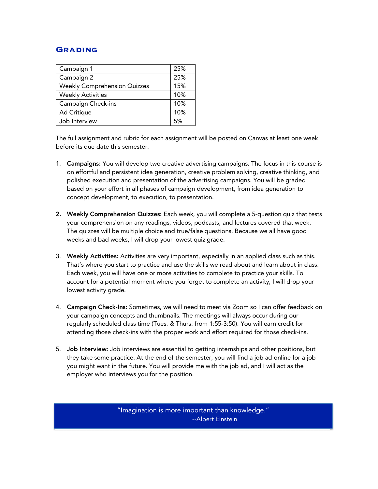### **Grading**

| Campaign 1                          | 25% |
|-------------------------------------|-----|
| Campaign 2                          | 25% |
| <b>Weekly Comprehension Quizzes</b> | 15% |
| <b>Weekly Activities</b>            | 10% |
| Campaign Check-ins                  | 10% |
| Ad Critique                         | 10% |
| Job Interview                       | 5%  |

The full assignment and rubric for each assignment will be posted on Canvas at least one week before its due date this semester.

- 1. Campaigns: You will develop two creative advertising campaigns. The focus in this course is on effortful and persistent idea generation, creative problem solving, creative thinking, and polished execution and presentation of the advertising campaigns. You will be graded based on your effort in all phases of campaign development, from idea generation to concept development, to execution, to presentation.
- 2. Weekly Comprehension Quizzes: Each week, you will complete a 5-question quiz that tests your comprehension on any readings, videos, podcasts, and lectures covered that week. The quizzes will be multiple choice and true/false questions. Because we all have good weeks and bad weeks, I will drop your lowest quiz grade.
- 3. Weekly Activities: Activities are very important, especially in an applied class such as this. That's where you start to practice and use the skills we read about and learn about in class. Each week, you will have one or more activities to complete to practice your skills. To account for a potential moment where you forget to complete an activity, I will drop your lowest activity grade.
- 4. Campaign Check-Ins: Sometimes, we will need to meet via Zoom so I can offer feedback on your campaign concepts and thumbnails. The meetings will always occur during our regularly scheduled class time (Tues. & Thurs. from 1:55-3:50). You will earn credit for attending those check-ins with the proper work and effort required for those check-ins.
- 5. Job Interview: Job interviews are essential to getting internships and other positions, but they take some practice. At the end of the semester, you will find a job ad online for a job you might want in the future. You will provide me with the job ad, and I will act as the employer who interviews you for the position.

"Imagination is more important than knowledge." --Albert Einstein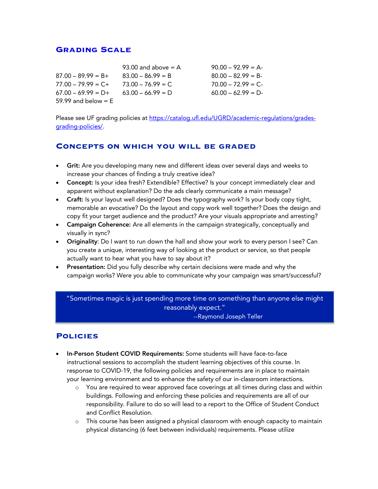#### **Grading Scale**

|                       | 93.00 and above $= A$ | $90.00 - 92.99 = A$ |
|-----------------------|-----------------------|---------------------|
| $87.00 - 89.99 = B +$ | $83.00 - 86.99 = B$   | $80.00 - 82.99 = B$ |
| $77.00 - 79.99 = C +$ | $73.00 - 76.99 = C$   | $70.00 - 72.99 = C$ |
| $67.00 - 69.99 = D +$ | $63.00 - 66.99 = D$   | $60.00 - 62.99 = D$ |
| 59.99 and below $=$ E |                       |                     |

Please see UF grading policies at https://catalog.ufl.edu/UGRD/academic-requlations/gradesgrading-policies/.

#### **Concepts on which you will be graded**

- Grit: Are you developing many new and different ideas over several days and weeks to increase your chances of finding a truly creative idea?
- Concept: Is your idea fresh? Extendible? Effective? Is your concept immediately clear and apparent without explanation? Do the ads clearly communicate a main message?
- Craft: Is your layout well designed? Does the typography work? Is your body copy tight, memorable an evocative? Do the layout and copy work well together? Does the design and copy fit your target audience and the product? Are your visuals appropriate and arresting?
- Campaign Coherence: Are all elements in the campaign strategically, conceptually and visually in sync?
- Originality: Do I want to run down the hall and show your work to every person I see? Can you create a unique, interesting way of looking at the product or service, so that people actually want to hear what you have to say about it?
- Presentation: Did you fully describe why certain decisions were made and why the campaign works? Were you able to communicate why your campaign was smart/successful?

"Sometimes magic is just spending more time on something than anyone else might reasonably expect." --Raymond Joseph Teller

#### **Policies**

- In-Person Student COVID Requirements: Some students will have face-to-face instructional sessions to accomplish the student learning objectives of this course. In response to COVID-19, the following policies and requirements are in place to maintain your learning environment and to enhance the safety of our in-classroom interactions.
	- o You are required to wear approved face coverings at all times during class and within buildings. Following and enforcing these policies and requirements are all of our responsibility. Failure to do so will lead to a report to the Office of Student Conduct and Conflict Resolution.
	- o This course has been assigned a physical classroom with enough capacity to maintain physical distancing (6 feet between individuals) requirements. Please utilize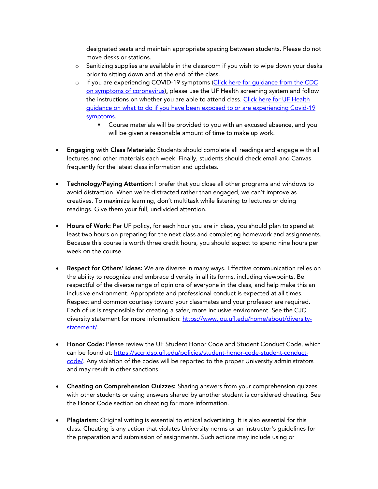designated seats and maintain appropriate spacing between students. Please do not move desks or stations.

- o Sanitizing supplies are available in the classroom if you wish to wipe down your desks prior to sitting down and at the end of the class.
- o If you are experiencing COVID-19 symptoms (Click here for guidance from the CDC on symptoms of coronavirus), please use the UF Health screening system and follow the instructions on whether you are able to attend class. Click here for UF Health guidance on what to do if you have been exposed to or are experiencing Covid-19 symptoms.
	- **•** Course materials will be provided to you with an excused absence, and you will be given a reasonable amount of time to make up work.
- Engaging with Class Materials: Students should complete all readings and engage with all lectures and other materials each week. Finally, students should check email and Canvas frequently for the latest class information and updates.
- Technology/Paying Attention: I prefer that you close all other programs and windows to avoid distraction. When we're distracted rather than engaged, we can't improve as creatives. To maximize learning, don't multitask while listening to lectures or doing readings. Give them your full, undivided attention.
- Hours of Work: Per UF policy, for each hour you are in class, you should plan to spend at least two hours on preparing for the next class and completing homework and assignments. Because this course is worth three credit hours, you should expect to spend nine hours per week on the course.
- Respect for Others' Ideas: We are diverse in many ways. Effective communication relies on the ability to recognize and embrace diversity in all its forms, including viewpoints. Be respectful of the diverse range of opinions of everyone in the class, and help make this an inclusive environment. Appropriate and professional conduct is expected at all times. Respect and common courtesy toward your classmates and your professor are required. Each of us is responsible for creating a safer, more inclusive environment. See the CJC diversity statement for more information: https://www.jou.ufl.edu/home/about/diversitystatement/.
- Honor Code: Please review the UF Student Honor Code and Student Conduct Code, which can be found at: https://sccr.dso.ufl.edu/policies/student-honor-code-student-conductcode/. Any violation of the codes will be reported to the proper University administrators and may result in other sanctions.
- Cheating on Comprehension Quizzes: Sharing answers from your comprehension quizzes with other students or using answers shared by another student is considered cheating. See the Honor Code section on cheating for more information.
- Plagiarism: Original writing is essential to ethical advertising. It is also essential for this class. Cheating is any action that violates University norms or an instructor's guidelines for the preparation and submission of assignments. Such actions may include using or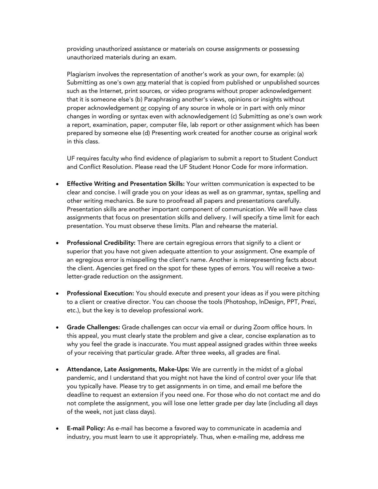providing unauthorized assistance or materials on course assignments or possessing unauthorized materials during an exam.

Plagiarism involves the representation of another's work as your own, for example: (a) Submitting as one's own any material that is copied from published or unpublished sources such as the Internet, print sources, or video programs without proper acknowledgement that it is someone else's (b) Paraphrasing another's views, opinions or insights without proper acknowledgement or copying of any source in whole or in part with only minor changes in wording or syntax even with acknowledgement (c) Submitting as one's own work a report, examination, paper, computer file, lab report or other assignment which has been prepared by someone else (d) Presenting work created for another course as original work in this class.

UF requires faculty who find evidence of plagiarism to submit a report to Student Conduct and Conflict Resolution. Please read the UF Student Honor Code for more information.

- Effective Writing and Presentation Skills: Your written communication is expected to be clear and concise. I will grade you on your ideas as well as on grammar, syntax, spelling and other writing mechanics. Be sure to proofread all papers and presentations carefully. Presentation skills are another important component of communication. We will have class assignments that focus on presentation skills and delivery. I will specify a time limit for each presentation. You must observe these limits. Plan and rehearse the material.
- Professional Credibility: There are certain egregious errors that signify to a client or superior that you have not given adequate attention to your assignment. One example of an egregious error is misspelling the client's name. Another is misrepresenting facts about the client. Agencies get fired on the spot for these types of errors. You will receive a twoletter-grade reduction on the assignment.
- Professional Execution: You should execute and present your ideas as if you were pitching to a client or creative director. You can choose the tools (Photoshop, InDesign, PPT, Prezi, etc.), but the key is to develop professional work.
- Grade Challenges: Grade challenges can occur via email or during Zoom office hours. In this appeal, you must clearly state the problem and give a clear, concise explanation as to why you feel the grade is inaccurate. You must appeal assigned grades within three weeks of your receiving that particular grade. After three weeks, all grades are final.
- Attendance, Late Assignments, Make-Ups: We are currently in the midst of a global pandemic, and I understand that you might not have the kind of control over your life that you typically have. Please try to get assignments in on time, and email me before the deadline to request an extension if you need one. For those who do not contact me and do not complete the assignment, you will lose one letter grade per day late (including all days of the week, not just class days).
- **E-mail Policy:** As e-mail has become a favored way to communicate in academia and industry, you must learn to use it appropriately. Thus, when e-mailing me, address me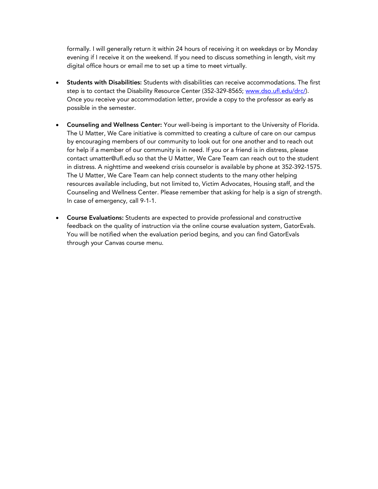formally. I will generally return it within 24 hours of receiving it on weekdays or by Monday evening if I receive it on the weekend. If you need to discuss something in length, visit my digital office hours or email me to set up a time to meet virtually.

- Students with Disabilities: Students with disabilities can receive accommodations. The first step is to contact the Disability Resource Center (352-329-8565; www.dso.ufl.edu/drc/). Once you receive your accommodation letter, provide a copy to the professor as early as possible in the semester.
- Counseling and Wellness Center: Your well-being is important to the University of Florida. The U Matter, We Care initiative is committed to creating a culture of care on our campus by encouraging members of our community to look out for one another and to reach out for help if a member of our community is in need. If you or a friend is in distress, please contact umatter@ufl.edu so that the U Matter, We Care Team can reach out to the student in distress. A nighttime and weekend crisis counselor is available by phone at 352-392-1575. The U Matter, We Care Team can help connect students to the many other helping resources available including, but not limited to, Victim Advocates, Housing staff, and the Counseling and Wellness Center. Please remember that asking for help is a sign of strength. In case of emergency, call 9-1-1.
- Course Evaluations: Students are expected to provide professional and constructive feedback on the quality of instruction via the online course evaluation system, GatorEvals. You will be notified when the evaluation period begins, and you can find GatorEvals through your Canvas course menu.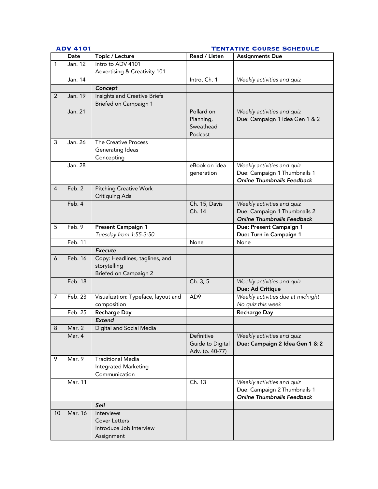#### **ADV 4101 Tentative Course Schedule**

|    | Date     | Topic / Lecture                       | Read / Listen    | <b>Assignments Due</b>                                            |
|----|----------|---------------------------------------|------------------|-------------------------------------------------------------------|
| 1  | Jan. 12  | Intro to ADV 4101                     |                  |                                                                   |
|    |          | Advertising & Creativity 101          |                  |                                                                   |
|    | Jan. 14  |                                       | Intro, Ch. 1     | Weekly activities and quiz                                        |
|    |          | Concept                               |                  |                                                                   |
| 2  | Jan. 19  | Insights and Creative Briefs          |                  |                                                                   |
|    |          | Briefed on Campaign 1                 |                  |                                                                   |
|    | Jan. 21  |                                       | Pollard on       | Weekly activities and quiz                                        |
|    |          |                                       | Planning,        | Due: Campaign 1 Idea Gen 1 & 2                                    |
|    |          |                                       | Sweathead        |                                                                   |
| 3  | Jan. 26  | The Creative Process                  | Podcast          |                                                                   |
|    |          | Generating Ideas                      |                  |                                                                   |
|    |          | Concepting                            |                  |                                                                   |
|    | Jan. 28  |                                       | eBook on idea    | Weekly activities and quiz                                        |
|    |          |                                       | generation       | Due: Campaign 1 Thumbnails 1                                      |
|    |          |                                       |                  | <b>Online Thumbnails Feedback</b>                                 |
| 4  | Feb. 2   | <b>Pitching Creative Work</b>         |                  |                                                                   |
|    |          | <b>Critiquing Ads</b>                 |                  |                                                                   |
|    | Feb. 4   |                                       | Ch. 15, Davis    | Weekly activities and quiz                                        |
|    |          |                                       | Ch. 14           | Due: Campaign 1 Thumbnails 2                                      |
|    |          |                                       |                  | <b>Online Thumbnails Feedback</b>                                 |
| 5  | Feb. 9   | Present Campaign 1                    |                  | Due: Present Campaign 1                                           |
|    |          | Tuesday from 1:55-3:50                |                  | Due: Turn in Campaign 1                                           |
|    | Feb. 11  |                                       | None             | None                                                              |
|    |          | <b>Execute</b>                        |                  |                                                                   |
| 6  | Feb. 16  | Copy: Headlines, taglines, and        |                  |                                                                   |
|    |          | storytelling<br>Briefed on Campaign 2 |                  |                                                                   |
|    | Feb. 18  |                                       | Ch. 3, 5         | Weekly activities and quiz                                        |
|    |          |                                       |                  | Due: Ad Critique                                                  |
| 7  | Feb. 23  | Visualization: Typeface, layout and   | AD <sub>9</sub>  | Weekly activities due at midnight                                 |
|    |          | composition                           |                  | No quiz this week                                                 |
|    | Feb. 25  | Recharge Day                          |                  | <b>Recharge Day</b>                                               |
|    |          | <b>Extend</b>                         |                  |                                                                   |
| 8  | Mar. $2$ | Digital and Social Media              |                  |                                                                   |
|    | Mar. 4   |                                       | Definitive       | Weekly activities and quiz                                        |
|    |          |                                       | Guide to Digital | Due: Campaign 2 Idea Gen 1 & 2                                    |
|    |          |                                       | Adv. (p. 40-77)  |                                                                   |
| 9  | Mar. 9   | <b>Traditional Media</b>              |                  |                                                                   |
|    |          | Integrated Marketing                  |                  |                                                                   |
|    | Mar. 11  | Communication                         |                  |                                                                   |
|    |          |                                       | Ch. 13           | Weekly activities and quiz                                        |
|    |          |                                       |                  | Due: Campaign 2 Thumbnails 1<br><b>Online Thumbnails Feedback</b> |
|    |          | Sell                                  |                  |                                                                   |
| 10 | Mar. 16  | Interviews                            |                  |                                                                   |
|    |          | <b>Cover Letters</b>                  |                  |                                                                   |
|    |          | Introduce Job Interview               |                  |                                                                   |
|    |          | Assignment                            |                  |                                                                   |